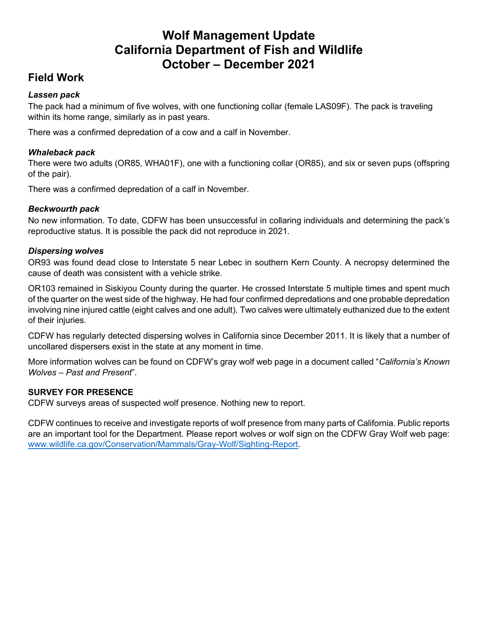# **Wolf Management Update California Department of Fish and Wildlife October – December 2021**

## **Field Work**

## *Lassen pack*

The pack had a minimum of five wolves, with one functioning collar (female LAS09F). The pack is traveling within its home range, similarly as in past years.

There was a confirmed depredation of a cow and a calf in November.

### *Whaleback pack*

There were two adults (OR85, WHA01F), one with a functioning collar (OR85), and six or seven pups (offspring of the pair).

There was a confirmed depredation of a calf in November.

### *Beckwourth pack*

No new information. To date, CDFW has been unsuccessful in collaring individuals and determining the pack's reproductive status. It is possible the pack did not reproduce in 2021.

### *Dispersing wolves*

OR93 was found dead close to Interstate 5 near Lebec in southern Kern County. A necropsy determined the cause of death was consistent with a vehicle strike.

OR103 remained in Siskiyou County during the quarter. He crossed Interstate 5 multiple times and spent much of the quarter on the west side of the highway. He had four confirmed depredations and one probable depredation involving nine injured cattle (eight calves and one adult). Two calves were ultimately euthanized due to the extent of their injuries.

CDFW has regularly detected dispersing wolves in California since December 2011. It is likely that a number of uncollared dispersers exist in the state at any moment in time.

More information wolves can be found on CDFW's gray wolf web page in a document called "*California's Known Wolves – Past and Present*".

#### **SURVEY FOR PRESENCE**

CDFW surveys areas of suspected wolf presence. Nothing new to report.

CDFW continues to receive and investigate reports of wolf presence from many parts of California. Public reports are an important tool for the Department. Please report wolves or wolf sign on the CDFW Gray Wolf web page: www.wildlife.ca.gov/Conservation/Mammals/Gray-Wolf/Sighting-Report.